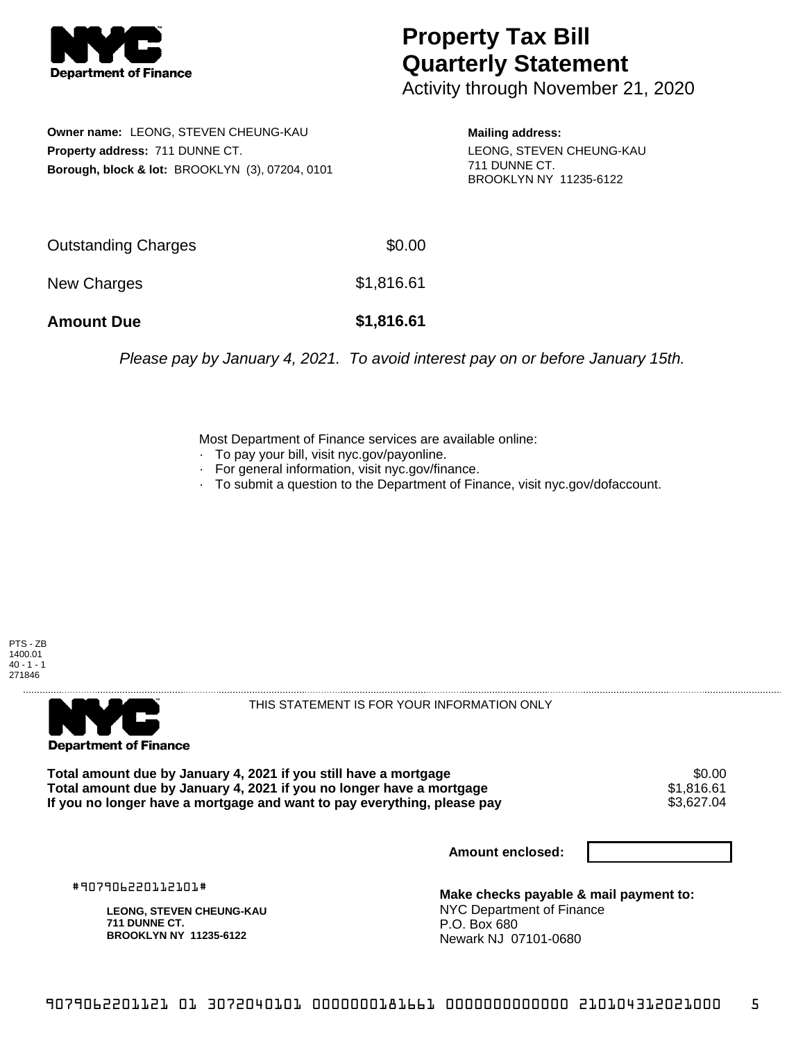

## **Property Tax Bill Quarterly Statement**

Activity through November 21, 2020

**Owner name:** LEONG, STEVEN CHEUNG-KAU **Property address:** 711 DUNNE CT. **Borough, block & lot:** BROOKLYN (3), 07204, 0101

**Mailing address:** LEONG, STEVEN CHEUNG-KAU 711 DUNNE CT. BROOKLYN NY 11235-6122

| <b>Amount Due</b>   | \$1,816.61 |
|---------------------|------------|
| New Charges         | \$1,816.61 |
| Outstanding Charges | \$0.00     |

Please pay by January 4, 2021. To avoid interest pay on or before January 15th.

Most Department of Finance services are available online:

- · To pay your bill, visit nyc.gov/payonline.
- For general information, visit nyc.gov/finance.
- · To submit a question to the Department of Finance, visit nyc.gov/dofaccount.

PTS - ZB 1400.01  $40 - 1 - 1$ 271846



THIS STATEMENT IS FOR YOUR INFORMATION ONLY

Total amount due by January 4, 2021 if you still have a mortgage **\$0.00** \$0.00<br>Total amount due by January 4, 2021 if you no longer have a mortgage **\$1,816.61 Total amount due by January 4, 2021 if you no longer have a mortgage**  $$1,816.61$ **<br>If you no longer have a mortgage and want to pay everything, please pay**  $$3,627.04$ If you no longer have a mortgage and want to pay everything, please pay

**Amount enclosed:**

#907906220112101#

**LEONG, STEVEN CHEUNG-KAU 711 DUNNE CT. BROOKLYN NY 11235-6122**

**Make checks payable & mail payment to:** NYC Department of Finance P.O. Box 680 Newark NJ 07101-0680